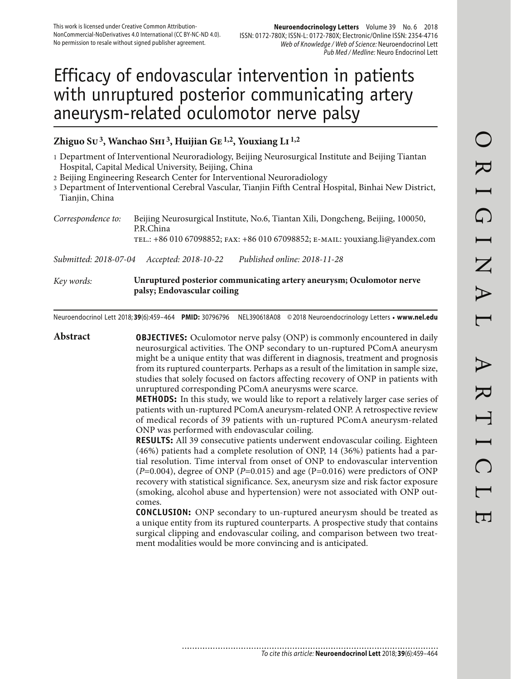# Efficacy of endovascular intervention in patients with unruptured posterior communicating artery aneurysm-related oculomotor nerve palsy

## **Zhiguo Su 3, Wanchao Shi 3, Huijian Ge 1,2, Youxiang Li 1,2**

1 Department of Interventional Neuroradiology, Beijing Neurosurgical Institute and Beijing Tiantan Hospital, Capital Medical University, Beijing, China

2 Beijing Engineering Research Center for Interventional Neuroradiology

3 Department of Interventional Cerebral Vascular, Tianjin Fifth Central Hospital, Binhai New District, Tianjin, China

*Correspondence to:* Beijing Neurosurgical Institute, No.6, Tiantan Xili, Dongcheng, Beijing, 100050, P.R.China tel.: +86 010 67098852; fax: +86 010 67098852; e-mail: youxiang.li@yandex.com

*Submitted: 2018-07-04 Accepted: 2018-10-22 Published online: 2018-11-28*

#### *Key words:* **Unruptured posterior communicating artery aneurysm; Oculomotor nerve palsy; Endovascular coiling**

Neuroendocrinol Lett 2018; **39**(6):459–464 **PMID:** 30796796 NEL390618A08 © 2018 Neuroendocrinology Letters • **www.nel.edu**

**Abstract OBJECTIVES:** Oculomotor nerve palsy (ONP) is commonly encountered in daily neurosurgical activities. The ONP secondary to un-ruptured PComA aneurysm might be a unique entity that was different in diagnosis, treatment and prognosis from its ruptured counterparts. Perhaps as a result of the limitation in sample size, studies that solely focused on factors affecting recovery of ONP in patients with unruptured corresponding PComA aneurysms were scarce. **METHODS:** In this study, we would like to report a relatively larger case series of patients with un-ruptured PComA aneurysm-related ONP. A retrospective review of medical records of 39 patients with un-ruptured PComA aneurysm-related ONP was performed with endovascular coiling. **RESULTS:** All 39 consecutive patients underwent endovascular coiling. Eighteen (46%) patients had a complete resolution of ONP, 14 (36%) patients had a partial resolution. Time interval from onset of ONP to endovascular intervention  $(P=0.004)$ , degree of ONP ( $P=0.015$ ) and age ( $P=0.016$ ) were predictors of ONP recovery with statistical significance. Sex, aneurysm size and risk factor exposure (smoking, alcohol abuse and hypertension) were not associated with ONP outcomes. **CONCLUSION:** ONP secondary to un-ruptured aneurysm should be treated as a unique entity from its ruptured counterparts. A prospective study that contains surgical clipping and endovascular coiling, and comparison between two treatment modalities would be more convincing and is anticipated.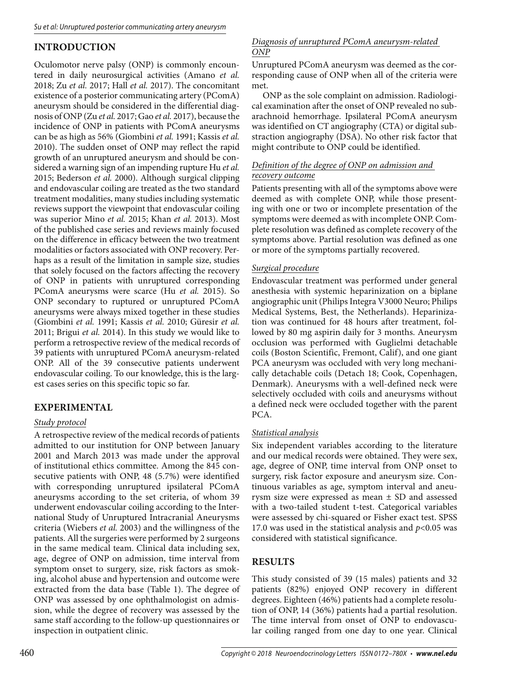## **INTRODUCTION**

Oculomotor nerve palsy (ONP) is commonly encountered in daily neurosurgical activities (Amano *et al.* 2018; Zu *et al.* 2017; Hall *et al.* 2017). The concomitant existence of a posterior communicating artery (PComA) aneurysm should be considered in the differential diagnosis of ONP (Zu *et al.* 2017; Gao *et al.* 2017), because the incidence of ONP in patients with PComA aneurysms can be as high as 56% (Giombini *et al.* 1991; Kassis *et al.* 2010). The sudden onset of ONP may reflect the rapid growth of an unruptured aneurysm and should be considered a warning sign of an impending rupture Hu *et al.* 2015; Bederson *et al.* 2000). Although surgical clipping and endovascular coiling are treated as the two standard treatment modalities, many studies including systematic reviews support the viewpoint that endovascular coiling was superior Mino *et al.* 2015; Khan *et al.* 2013). Most of the published case series and reviews mainly focused on the difference in efficacy between the two treatment modalities or factors associated with ONP recovery. Perhaps as a result of the limitation in sample size, studies that solely focused on the factors affecting the recovery of ONP in patients with unruptured corresponding PComA aneurysms were scarce (Hu *et al.* 2015). So ONP secondary to ruptured or unruptured PComA aneurysms were always mixed together in these studies (Giombini *et al.* 1991; Kassis *et al.* 2010; Güresir *et al.* 2011; Brigui *et al.* 2014). In this study we would like to perform a retrospective review of the medical records of 39 patients with unruptured PComA aneurysm-related ONP. All of the 39 consecutive patients underwent endovascular coiling. To our knowledge, this is the largest cases series on this specific topic so far.

## **EXPERIMENTAL**

## *Study protocol*

A retrospective review of the medical records of patients admitted to our institution for ONP between January 2001 and March 2013 was made under the approval of institutional ethics committee. Among the 845 consecutive patients with ONP, 48 (5.7%) were identified with corresponding unruptured ipsilateral PComA aneurysms according to the set criteria, of whom 39 underwent endovascular coiling according to the International Study of Unruptured Intracranial Aneurysms criteria (Wiebers *et al.* 2003) and the willingness of the patients. All the surgeries were performed by 2 surgeons in the same medical team. Clinical data including sex, age, degree of ONP on admission, time interval from symptom onset to surgery, size, risk factors as smoking, alcohol abuse and hypertension and outcome were extracted from the data base (Table 1). The degree of ONP was assessed by one ophthalmologist on admission, while the degree of recovery was assessed by the same staff according to the follow-up questionnaires or inspection in outpatient clinic.

#### *Diagnosis of unruptured PComA aneurysm-related ONP*

Unruptured PComA aneurysm was deemed as the corresponding cause of ONP when all of the criteria were met.

ONP as the sole complaint on admission. Radiological examination after the onset of ONP revealed no subarachnoid hemorrhage. Ipsilateral PComA aneurysm was identified on CT angiography (CTA) or digital substraction angiography (DSA). No other risk factor that might contribute to ONP could be identified.

#### *Definition of the degree of ONP on admission and recovery outcome*

Patients presenting with all of the symptoms above were deemed as with complete ONP, while those presenting with one or two or incomplete presentation of the symptoms were deemed as with incomplete ONP. Complete resolution was defined as complete recovery of the symptoms above. Partial resolution was defined as one or more of the symptoms partially recovered.

### *Surgical procedure*

Endovascular treatment was performed under general anesthesia with systemic heparinization on a biplane angiographic unit (Philips Integra V3000 Neuro; Philips Medical Systems, Best, the Netherlands). Heparinization was continued for 48 hours after treatment, followed by 80 mg aspirin daily for 3 months. Aneurysm occlusion was performed with Guglielmi detachable coils (Boston Scientific, Fremont, Calif), and one giant PCA aneurysm was occluded with very long mechanically detachable coils (Detach 18; Cook, Copenhagen, Denmark). Aneurysms with a well-defined neck were selectively occluded with coils and aneurysms without a defined neck were occluded together with the parent PCA.

#### *Statistical analysis*

Six independent variables according to the literature and our medical records were obtained. They were sex, age, degree of ONP, time interval from ONP onset to surgery, risk factor exposure and aneurysm size. Continuous variables as age, symptom interval and aneurysm size were expressed as mean ± SD and assessed with a two-tailed student t-test. Categorical variables were assessed by chi-squared or Fisher exact test. SPSS 17.0 was used in the statistical analysis and  $p<0.05$  was considered with statistical significance.

## **RESULTS**

This study consisted of 39 (15 males) patients and 32 patients (82%) enjoyed ONP recovery in different degrees. Eighteen (46%) patients had a complete resolution of ONP, 14 (36%) patients had a partial resolution. The time interval from onset of ONP to endovascular coiling ranged from one day to one year. Clinical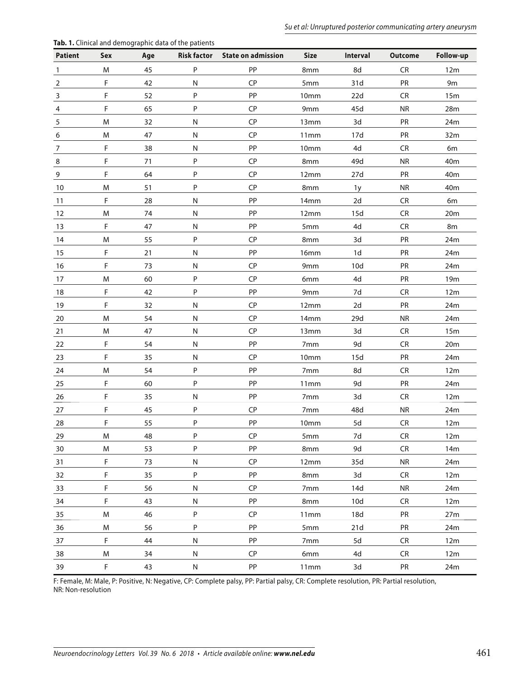| <b>Patient</b> | Sex         | Age | n in chincal and achiegraphic aata of the patients | Risk factor State on admission | Size             | Interval | <b>Outcome</b> | Follow-up       |
|----------------|-------------|-----|----------------------------------------------------|--------------------------------|------------------|----------|----------------|-----------------|
| $\mathbf{1}$   | M           | 45  | P                                                  | PP                             | 8mm              | 8d       | ${\sf CR}$     | 12m             |
| 2              | F.          | 42  | N                                                  | CP                             | 5mm              | 31d      | PR             | 9m              |
| 3              | F           | 52  | P                                                  | PP                             | 10mm             | 22d      | CR             | 15m             |
| 4              | F           | 65  | P                                                  | CP                             | 9mm              | 45d      | <b>NR</b>      | 28m             |
| 5              | M           | 32  | N                                                  | CP                             | 13mm             | 3d       | PR             | 24m             |
| 6              | M           | 47  | N                                                  | CP                             | 11mm             | 17d      | <b>PR</b>      | 32m             |
| 7              | F           | 38  | N                                                  | PP                             | 10mm             | 4d       | <b>CR</b>      | 6m              |
| 8              | $\mathsf F$ | 71  | P                                                  | CP                             | 8mm              | 49d      | <b>NR</b>      | 40 <sub>m</sub> |
| 9              | F           | 64  | P                                                  | CP                             | 12mm             | 27d      | PR             | 40 <sub>m</sub> |
| 10             | M           | 51  | P                                                  | CP                             | 8mm              | 1y       | ${\sf NR}$     | 40 <sub>m</sub> |
| 11             | F           | 28  | N                                                  | PP                             | 14mm             | 2d       | CR             | 6m              |
| 12             | M           | 74  | ${\sf N}$                                          | PP                             | 12mm             | 15d      | CR             | 20m             |
| 13             | F           | 47  | N                                                  | PP                             | 5mm              | 4d       | <b>CR</b>      | 8m              |
| 14             | M           | 55  | P                                                  | CP                             | 8mm              | 3d       | PR             | 24m             |
| 15             | F.          | 21  | N                                                  | PP                             | 16mm             | 1d       | PR             | 24m             |
| $16\,$         | F           | 73  | N                                                  | CP                             | 9mm              | 10d      | PR             | 24m             |
| 17             | M           | 60  | P                                                  | CP                             | 6mm              | 4d       | PR             | 19 <sub>m</sub> |
| 18             | F           | 42  | P                                                  | PP                             | 9mm              | 7d       | <b>CR</b>      | 12m             |
| 19             | F           | 32  | N                                                  | CP                             | 12mm             | 2d       | PR             | 24m             |
| 20             | M           | 54  | ${\sf N}$                                          | CP                             | 14mm             | 29d      | <b>NR</b>      | 24m             |
| 21             | M           | 47  | N                                                  | CP                             | 13mm             | 3d       | CR             | 15m             |
| 22             | F           | 54  | N                                                  | PP                             | 7 <sub>mm</sub>  | 9d       | CR             | 20m             |
| 23             | F           | 35  | N                                                  | CP                             | 10mm             | 15d      | PR             | 24m             |
| 24             | M           | 54  | P                                                  | PP                             | 7mm              | 8d       | CR             | 12m             |
| 25             | $\mathsf F$ | 60  | P                                                  | PP                             | 11mm             | 9d       | PR             | 24m             |
| 26             | $\mathsf F$ | 35  | N                                                  | PP                             | 7 <sub>mm</sub>  | 3d       | <b>CR</b>      | 12m             |
| 27             | F           | 45  | P                                                  | CP                             | 7mm              | 48d      | <b>NR</b>      | 24m             |
| 28             | F           | 55  | P                                                  | PP                             | 10mm             | 5d       | <b>CR</b>      | 12m             |
| 29             | M           | 48  | P                                                  | CP                             | 5mm              | 7d       | <b>CR</b>      | 12m             |
| 30             | M           | 53  | P                                                  | PP                             | 8mm              | 9d       | <b>CR</b>      | 14m             |
| 31             | $\mathsf F$ | 73  | N                                                  | <b>CP</b>                      | 12mm             | 35d      | <b>NR</b>      | 24m             |
| 32             | $\mathsf F$ | 35  | P                                                  | PP                             | 8mm              | 3d       | <b>CR</b>      | 12m             |
| 33             | F           | 56  | ${\sf N}$                                          | CP                             | 7mm              | 14d      | <b>NR</b>      | 24m             |
| 34             | F           | 43  | N                                                  | PP                             | 8mm              | 10d      | CR             | 12m             |
| 35             | M           | 46  | P                                                  | CP                             | 11 <sub>mm</sub> | 18d      | PR             | 27m             |
| 36             | M           | 56  | P                                                  | PP                             | 5mm              | 21d      | PR             | 24m             |
| 37             | $\mathsf F$ | 44  | N                                                  | PP                             | 7mm              | 5d       | CR             | 12m             |
| 38             | M           | 34  | N                                                  | CP                             | 6mm              | 4d       | CR             | 12m             |
| 39             | $\mathsf F$ | 43  | N                                                  | PP                             | 11mm             | 3d       | PR             | 24m             |

**Tab. 1.** Clinical and demographic data of the patients

F: Female, M: Male, P: Positive, N: Negative, CP: Complete palsy, PP: Partial palsy, CR: Complete resolution, PR: Partial resolution, NR: Non-resolution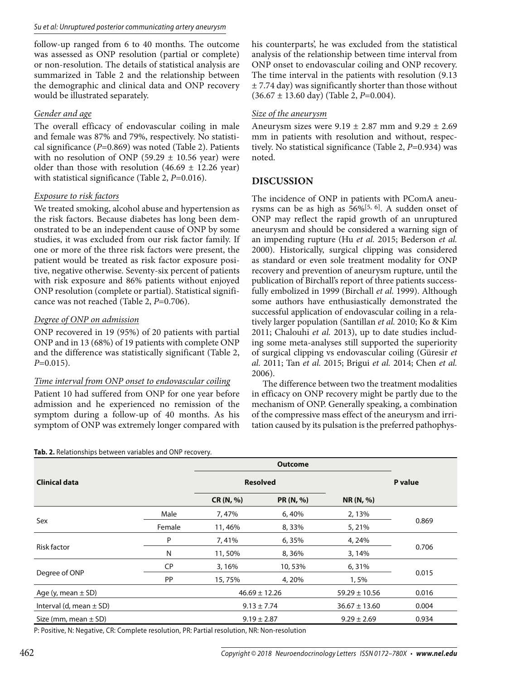follow-up ranged from 6 to 40 months. The outcome was assessed as ONP resolution (partial or complete) or non-resolution. The details of statistical analysis are summarized in Table 2 and the relationship between the demographic and clinical data and ONP recovery would be illustrated separately.

#### *Gender and age*

The overall efficacy of endovascular coiling in male and female was 87% and 79%, respectively. No statistical significance (*P*=0.869) was noted (Table 2). Patients with no resolution of ONP (59.29  $\pm$  10.56 year) were older than those with resolution  $(46.69 \pm 12.26 \text{ year})$ with statistical significance (Table 2, *P*=0.016).

#### *Exposure to risk factors*

We treated smoking, alcohol abuse and hypertension as the risk factors. Because diabetes has long been demonstrated to be an independent cause of ONP by some studies, it was excluded from our risk factor family. If one or more of the three risk factors were present, the patient would be treated as risk factor exposure positive, negative otherwise. Seventy-six percent of patients with risk exposure and 86% patients without enjoyed ONP resolution (complete or partial). Statistical significance was not reached (Table 2, *P*=0.706).

#### *Degree of ONP on admission*

ONP recovered in 19 (95%) of 20 patients with partial ONP and in 13 (68%) of 19 patients with complete ONP and the difference was statistically significant (Table 2, *P*=0.015).

#### *Time interval from ONP onset to endovascular coiling*

Patient 10 had suffered from ONP for one year before admission and he experienced no remission of the symptom during a follow-up of 40 months. As his symptom of ONP was extremely longer compared with

his counterparts', he was excluded from the statistical analysis of the relationship between time interval from ONP onset to endovascular coiling and ONP recovery. The time interval in the patients with resolution (9.13  $\pm$  7.74 day) was significantly shorter than those without (36.67 ± 13.60 day) (Table 2, *P*=0.004).

#### *Size of the aneurysm*

Aneurysm sizes were  $9.19 \pm 2.87$  mm and  $9.29 \pm 2.69$ mm in patients with resolution and without, respectively. No statistical significance (Table 2, *P*=0.934) was noted.

### **DISCUSSION**

The incidence of ONP in patients with PComA aneurysms can be as high as  $56\%$ <sup>[5, 6]</sup>. A sudden onset of ONP may reflect the rapid growth of an unruptured aneurysm and should be considered a warning sign of an impending rupture (Hu *et al.* 2015; Bederson *et al.* 2000). Historically, surgical clipping was considered as standard or even sole treatment modality for ONP recovery and prevention of aneurysm rupture, until the publication of Birchall's report of three patients successfully embolized in 1999 (Birchall *et al.* 1999). Although some authors have enthusiastically demonstrated the successful application of endovascular coiling in a relatively larger population (Santillan *et al.* 2010; Ko & Kim 2011; Chalouhi *et al.* 2013), up to date studies including some meta-analyses still supported the superiority of surgical clipping vs endovascular coiling (Güresir *et al.* 2011; Tan *et al.* 2015; Brigui *et al.* 2014; Chen *et al.* 2006).

The difference between two the treatment modalities in efficacy on ONP recovery might be partly due to the mechanism of ONP. Generally speaking, a combination of the compressive mass effect of the aneurysm and irritation caused by its pulsation is the preferred pathophys-

| <b>Clinical data</b>        |           | <b>Resolved</b>   |                  |                   | P value |  |
|-----------------------------|-----------|-------------------|------------------|-------------------|---------|--|
|                             |           | CR (N, %)         | <b>PR</b> (N, %) | <b>NR</b> (N, %)  |         |  |
|                             | Male      | 7,47%             | 6,40%            | 2, 13%            | 0.869   |  |
| Sex                         | Female    | 11,46%            | 8,33%            | 5, 21%            |         |  |
|                             | P         | 7,41%             | 6,35%            | 4, 24%            |         |  |
| <b>Risk factor</b>          | N         | 11,50%            | 8,36%            | 3, 14%            | 0.706   |  |
|                             | CP        | 3, 16%            | 10,53%           | 6,31%             | 0.015   |  |
| Degree of ONP               | <b>PP</b> | 15,75%            | 4, 20%           | 1,5%              |         |  |
| Age (y, mean $\pm$ SD)      |           | $46.69 \pm 12.26$ |                  | $59.29 \pm 10.56$ | 0.016   |  |
| Interval (d, mean $\pm$ SD) |           | $9.13 \pm 7.74$   |                  | $36.67 \pm 13.60$ | 0.004   |  |
| Size (mm, mean $\pm$ SD)    |           | $9.19 \pm 2.87$   |                  | $9.29 \pm 2.69$   | 0.934   |  |

**Tab. 2.** Relationships between variables and ONP recovery.

P: Positive, N: Negative, CR: Complete resolution, PR: Partial resolution, NR: Non-resolution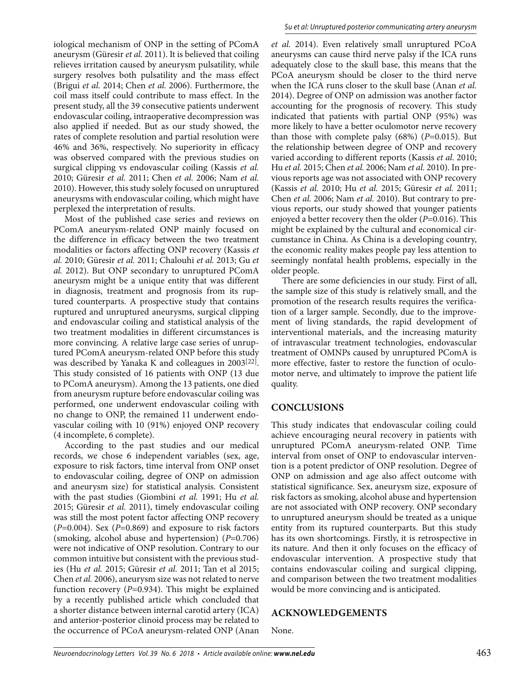iological mechanism of ONP in the setting of PComA aneurysm (Güresir *et al.* 2011). It is believed that coiling relieves irritation caused by aneurysm pulsatility, while surgery resolves both pulsatility and the mass effect (Brigui *et al.* 2014; Chen *et al.* 2006). Furthermore, the coil mass itself could contribute to mass effect. In the present study, all the 39 consecutive patients underwent endovascular coiling, intraoperative decompression was also applied if needed. But as our study showed, the rates of complete resolution and partial resolution were 46% and 36%, respectively. No superiority in efficacy was observed compared with the previous studies on surgical clipping vs endovascular coiling (Kassis *et al.* 2010; Güresir *et al.* 2011; Chen *et al.* 2006; Nam *et al.* 2010). However, this study solely focused on unruptured aneurysms with endovascular coiling, which might have perplexed the interpretation of results.

Most of the published case series and reviews on PComA aneurysm-related ONP mainly focused on the difference in efficacy between the two treatment modalities or factors affecting ONP recovery (Kassis *et al.* 2010; Güresir *et al.* 2011; Chalouhi *et al.* 2013; Gu *et al.* 2012). But ONP secondary to unruptured PComA aneurysm might be a unique entity that was different in diagnosis, treatment and prognosis from its ruptured counterparts. A prospective study that contains ruptured and unruptured aneurysms, surgical clipping and endovascular coiling and statistical analysis of the two treatment modalities in different circumstances is more convincing. A relative large case series of unruptured PComA aneurysm-related ONP before this study was described by Yanaka K and colleagues in 2003[22]. This study consisted of 16 patients with ONP (13 due to PComA aneurysm). Among the 13 patients, one died from aneurysm rupture before endovascular coiling was performed, one underwent endovascular coiling with no change to ONP, the remained 11 underwent endovascular coiling with 10 (91%) enjoyed ONP recovery (4 incomplete, 6 complete).

According to the past studies and our medical records, we chose 6 independent variables (sex, age, exposure to risk factors, time interval from ONP onset to endovascular coiling, degree of ONP on admission and aneurysm size) for statistical analysis. Consistent with the past studies (Giombini *et al.* 1991; Hu *et al.* 2015; Güresir *et al.* 2011), timely endovascular coiling was still the most potent factor affecting ONP recovery (*P*=0.004). Sex (*P*=0.869) and exposure to risk factors (smoking, alcohol abuse and hypertension) (*P*=0.706) were not indicative of ONP resolution. Contrary to our common intuitive but consistent with the previous studies (Hu *et al.* 2015; Güresir *et al.* 2011; Tan et al 2015; Chen *et al.* 2006), aneurysm size was not related to nerve function recovery (*P*=0.934). This might be explained by a recently published article which concluded that a shorter distance between internal carotid artery (ICA) and anterior-posterior clinoid process may be related to the occurrence of PCoA aneurysm-related ONP (Anan

*et al.* 2014). Even relatively small unruptured PCoA aneurysms can cause third nerve palsy if the ICA runs adequately close to the skull base, this means that the PCoA aneurysm should be closer to the third nerve when the ICA runs closer to the skull base (Anan *et al.* 2014). Degree of ONP on admission was another factor accounting for the prognosis of recovery. This study indicated that patients with partial ONP (95%) was more likely to have a better oculomotor nerve recovery than those with complete palsy (68%) (*P*=0.015). But the relationship between degree of ONP and recovery varied according to different reports (Kassis *et al.* 2010; Hu *et al.* 2015; Chen *et al.* 2006; Nam *et al.* 2010). In previous reports age was not associated with ONP recovery (Kassis *et al.* 2010; Hu *et al.* 2015; Güresir *et al.* 2011; Chen *et al.* 2006; Nam *et al.* 2010). But contrary to previous reports, our study showed that younger patients enjoyed a better recovery then the older (*P*=0.016). This might be explained by the cultural and economical circumstance in China. As China is a developing country, the economic reality makes people pay less attention to seemingly nonfatal health problems, especially in the older people.

There are some deficiencies in our study. First of all, the sample size of this study is relatively small, and the promotion of the research results requires the verification of a larger sample. Secondly, due to the improvement of living standards, the rapid development of interventional materials, and the increasing maturity of intravascular treatment technologies, endovascular treatment of OMNPs caused by unruptured PComA is more effective, faster to restore the function of oculomotor nerve, and ultimately to improve the patient life quality.

#### **CONCLUSIONS**

This study indicates that endovascular coiling could achieve encouraging neural recovery in patients with unruptured PComA aneurysm-related ONP. Time interval from onset of ONP to endovascular intervention is a potent predictor of ONP resolution. Degree of ONP on admission and age also affect outcome with statistical significance. Sex, aneurysm size, exposure of risk factors as smoking, alcohol abuse and hypertension are not associated with ONP recovery. ONP secondary to unruptured aneurysm should be treated as a unique entity from its ruptured counterparts. But this study has its own shortcomings. Firstly, it is retrospective in its nature. And then it only focuses on the efficacy of endovascular intervention. A prospective study that contains endovascular coiling and surgical clipping, and comparison between the two treatment modalities would be more convincing and is anticipated.

#### **ACKNOWLEDGEMENTS**

None.